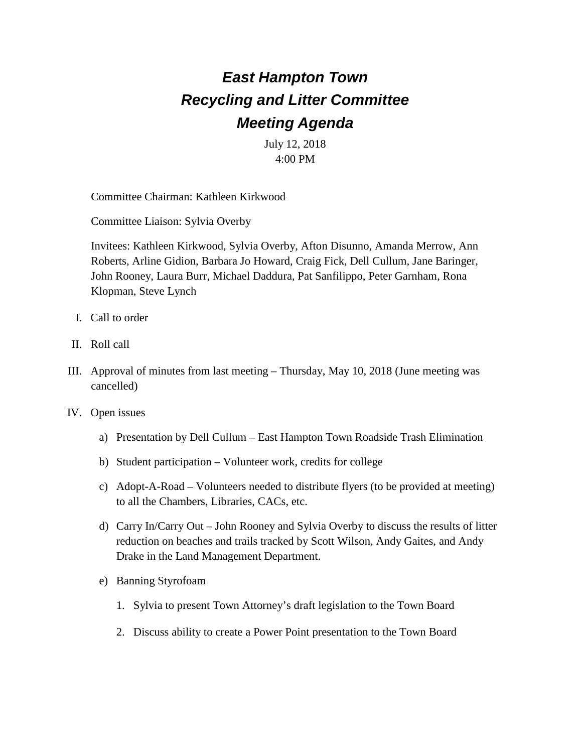## *East Hampton Town Recycling and Litter Committee Meeting Agenda*

July 12, 2018 4:00 PM

Committee Chairman: Kathleen Kirkwood

Committee Liaison: Sylvia Overby

Invitees: Kathleen Kirkwood, Sylvia Overby, Afton Disunno, Amanda Merrow, Ann Roberts, Arline Gidion, Barbara Jo Howard, Craig Fick, Dell Cullum, Jane Baringer, John Rooney, Laura Burr, Michael Daddura, Pat Sanfilippo, Peter Garnham, Rona Klopman, Steve Lynch

- I. Call to order
- II. Roll call
- III. Approval of minutes from last meeting Thursday, May 10, 2018 (June meeting was cancelled)
- IV. Open issues
	- a) Presentation by Dell Cullum East Hampton Town Roadside Trash Elimination
	- b) Student participation Volunteer work, credits for college
	- c) Adopt-A-Road Volunteers needed to distribute flyers (to be provided at meeting) to all the Chambers, Libraries, CACs, etc.
	- d) Carry In/Carry Out John Rooney and Sylvia Overby to discuss the results of litter reduction on beaches and trails tracked by Scott Wilson, Andy Gaites, and Andy Drake in the Land Management Department.
	- e) Banning Styrofoam
		- 1. Sylvia to present Town Attorney's draft legislation to the Town Board
		- 2. Discuss ability to create a Power Point presentation to the Town Board